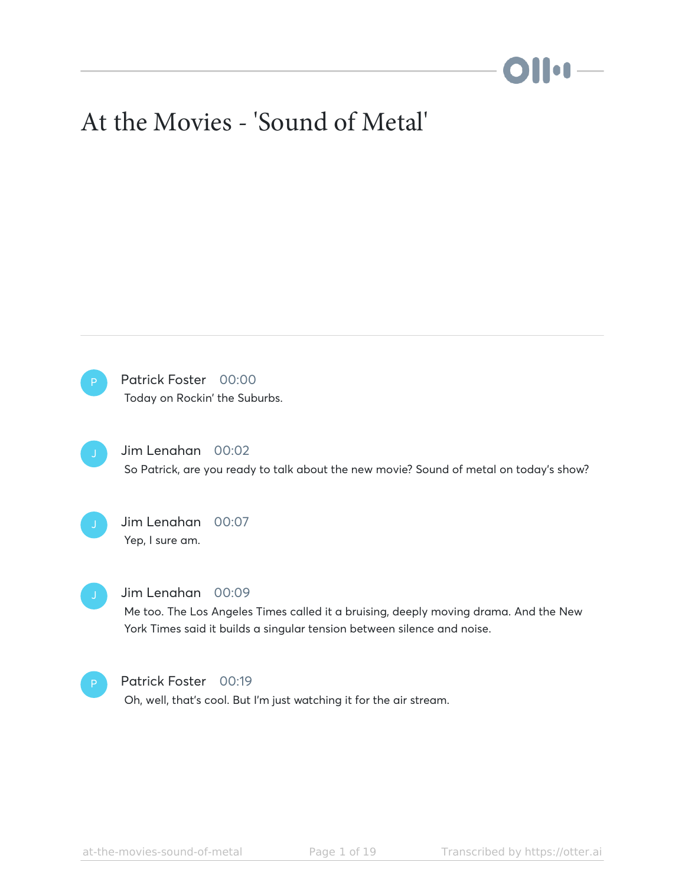# **DII:1**—

# At the Movies - 'Sound of Metal'

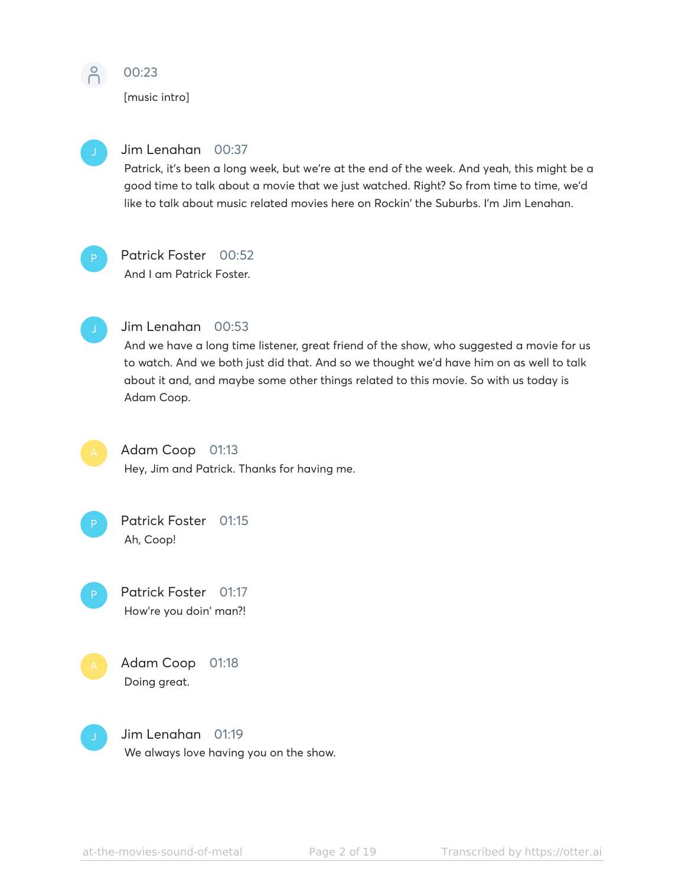

# 00:23

[music intro]



# Jim Lenahan 00:37

Patrick, it's been a long week, but we're at the end of the week. And yeah, this might be a good time to talk about a movie that we just watched. Right? So from time to time, we'd like to talk about music related movies here on Rockin' the Suburbs. I'm Jim Lenahan.

# Patrick Foster 00:52

And I am Patrick Foster.



# Jim Lenahan 00:53

And we have a long time listener, great friend of the show, who suggested a movie for us to watch. And we both just did that. And so we thought we'd have him on as well to talk about it and, and maybe some other things related to this movie. So with us today is Adam Coop.



# Adam Coop 01:13

Hey, Jim and Patrick. Thanks for having me.



- Patrick Foster 01:17 How're you doin' man?!
- Adam Coop 01:18 Doing great.



Jim Lenahan 01:19 We always love having you on the show.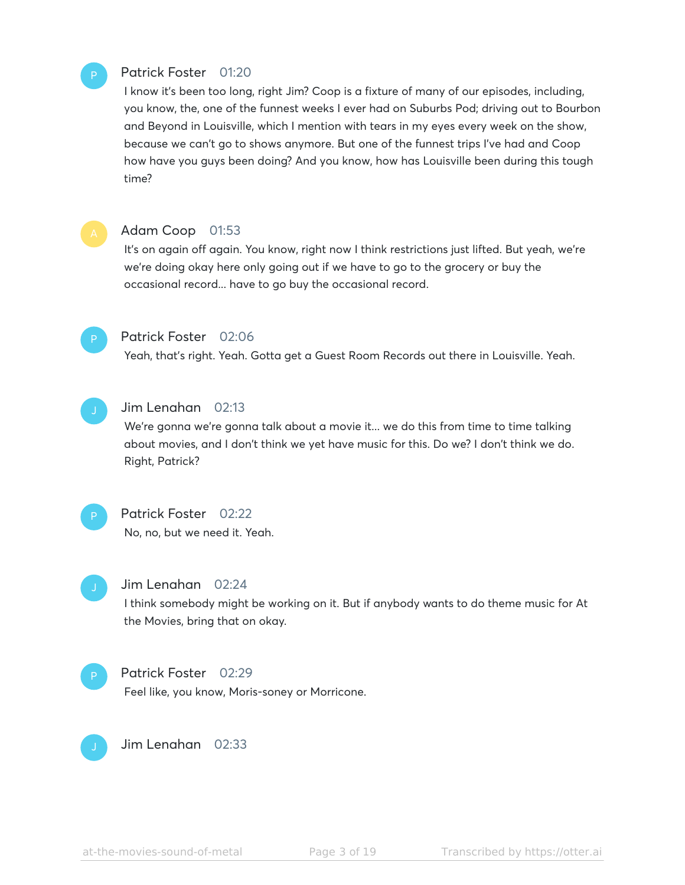### Patrick Foster 01:20

I know it's been too long, right Jim? Coop is a fixture of many of our episodes, including, you know, the, one of the funnest weeks I ever had on Suburbs Pod; driving out to Bourbon and Beyond in Louisville, which I mention with tears in my eyes every week on the show, because we can't go to shows anymore. But one of the funnest trips I've had and Coop how have you guys been doing? And you know, how has Louisville been during this tough time?



P

#### Adam Coop 01:53

It's on again off again. You know, right now I think restrictions just lifted. But yeah, we're we're doing okay here only going out if we have to go to the grocery or buy the occasional record... have to go buy the occasional record.



#### Patrick Foster 02:06

Yeah, that's right. Yeah. Gotta get a Guest Room Records out there in Louisville. Yeah.



#### Jim Lenahan 02:13

We're gonna we're gonna talk about a movie it... we do this from time to time talking about movies, and I don't think we yet have music for this. Do we? I don't think we do. Right, Patrick?



# Patrick Foster 02:22 No, no, but we need it. Yeah.



#### Jim Lenahan 02:24

I think somebody might be working on it. But if anybody wants to do theme music for At the Movies, bring that on okay.

Patrick Foster 02:29 Feel like, you know, Moris-soney or Morricone. P



Jim Lenahan 02:33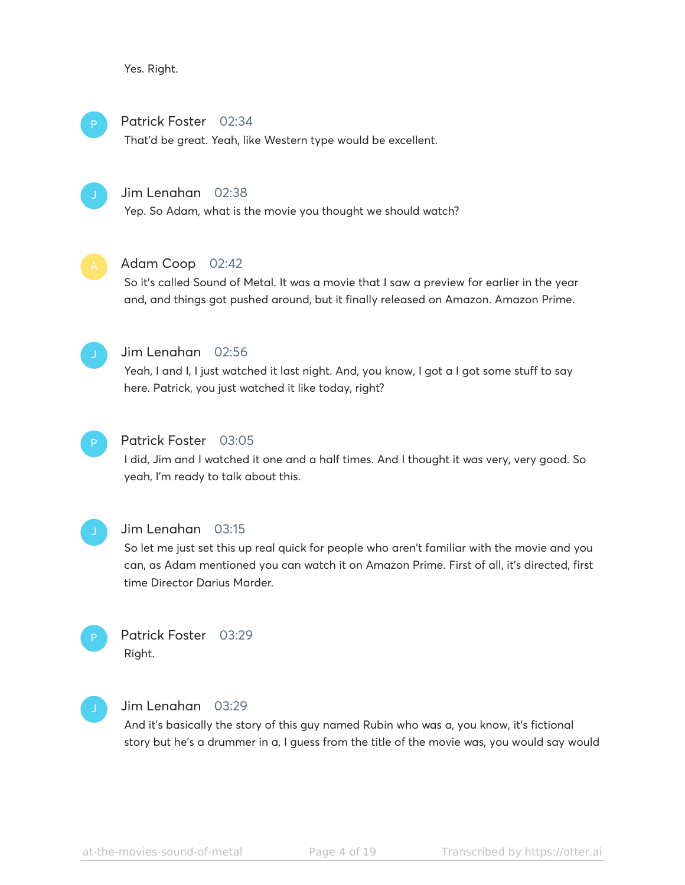Yes. Right.

#### Patrick Foster 02:34 P

That'd be great. Yeah, like Western type would be excellent.

#### Jim Lenahan 02:38

Yep. So Adam, what is the movie you thought we should watch?



# Adam Coop 02:42

So it's called Sound of Metal. It was a movie that I saw a preview for earlier in the year and, and things got pushed around, but it finally released on Amazon. Amazon Prime.



# Jim Lenahan 02:56

Yeah, I and I, I just watched it last night. And, you know, I got a I got some stuff to say here. Patrick, you just watched it like today, right?



#### Patrick Foster 03:05

I did, Jim and I watched it one and a half times. And I thought it was very, very good. So yeah, I'm ready to talk about this.



#### Jim Lenahan 03:15

So let me just set this up real quick for people who aren't familiar with the movie and you can, as Adam mentioned you can watch it on Amazon Prime. First of all, it's directed, first time Director Darius Marder.



# Jim Lenahan 03:29

And it's basically the story of this guy named Rubin who was a, you know, it's fictional story but he's a drummer in a, I guess from the title of the movie was, you would say would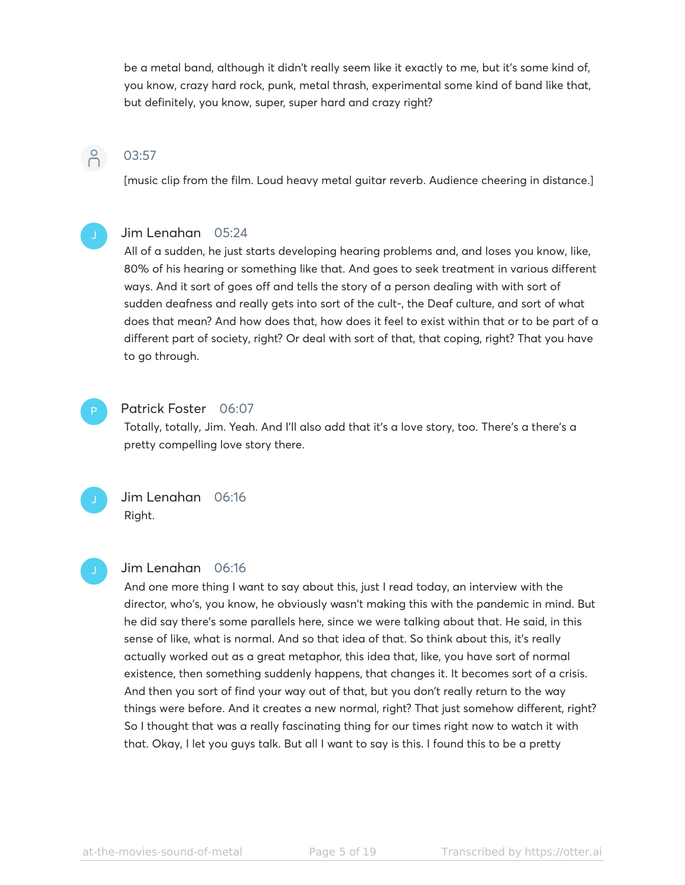be a metal band, although it didn't really seem like it exactly to me, but it's some kind of, you know, crazy hard rock, punk, metal thrash, experimental some kind of band like that, but definitely, you know, super, super hard and crazy right?

# 03:57

 $\beta$ 

[music clip from the film. Loud heavy metal guitar reverb. Audience cheering in distance.]

# Jim Lenahan 05:24

All of a sudden, he just starts developing hearing problems and, and loses you know, like, 80% of his hearing or something like that. And goes to seek treatment in various different ways. And it sort of goes off and tells the story of a person dealing with with sort of sudden deafness and really gets into sort of the cult-, the Deaf culture, and sort of what does that mean? And how does that, how does it feel to exist within that or to be part of a different part of society, right? Or deal with sort of that, that coping, right? That you have to go through.

# P

#### Patrick Foster 06:07

Totally, totally, Jim. Yeah. And I'll also add that it's a love story, too. There's a there's a pretty compelling love story there.



#### Jim Lenahan 06:16

And one more thing I want to say about this, just I read today, an interview with the director, who's, you know, he obviously wasn't making this with the pandemic in mind. But he did say there's some parallels here, since we were talking about that. He said, in this sense of like, what is normal. And so that idea of that. So think about this, it's really actually worked out as a great metaphor, this idea that, like, you have sort of normal existence, then something suddenly happens, that changes it. It becomes sort of a crisis. And then you sort of find your way out of that, but you don't really return to the way things were before. And it creates a new normal, right? That just somehow different, right? So I thought that was a really fascinating thing for our times right now to watch it with that. Okay, I let you guys talk. But all I want to say is this. I found this to be a pretty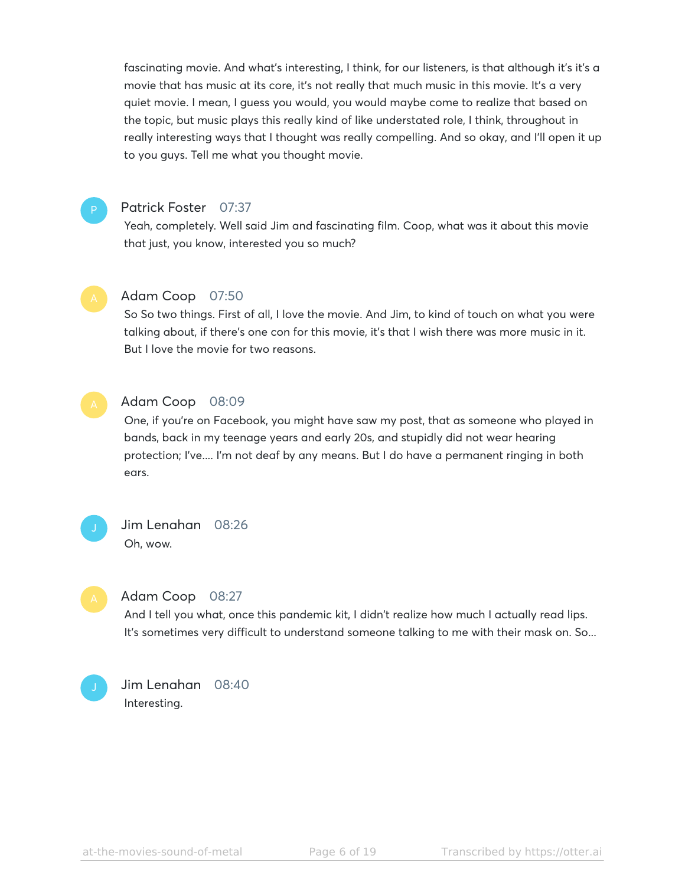fascinating movie. And what's interesting, I think, for our listeners, is that although it's it's a movie that has music at its core, it's not really that much music in this movie. It's a very quiet movie. I mean, I guess you would, you would maybe come to realize that based on the topic, but music plays this really kind of like understated role, I think, throughout in really interesting ways that I thought was really compelling. And so okay, and I'll open it up to you guys. Tell me what you thought movie.

# P

#### Patrick Foster 07:37

Yeah, completely. Well said Jim and fascinating film. Coop, what was it about this movie that just, you know, interested you so much?



#### Adam Coop 07:50

So So two things. First of all, I love the movie. And Jim, to kind of touch on what you were talking about, if there's one con for this movie, it's that I wish there was more music in it. But I love the movie for two reasons.



#### Adam Coop 08:09

One, if you're on Facebook, you might have saw my post, that as someone who played in bands, back in my teenage years and early 20s, and stupidly did not wear hearing protection; I've.... I'm not deaf by any means. But I do have a permanent ringing in both ears.



# Jim Lenahan 08:26 Oh, wow.



#### Adam Coop 08:27

And I tell you what, once this pandemic kit, I didn't realize how much I actually read lips. It's sometimes very difficult to understand someone talking to me with their mask on. So...



# Jim Lenahan 08:40 Interesting.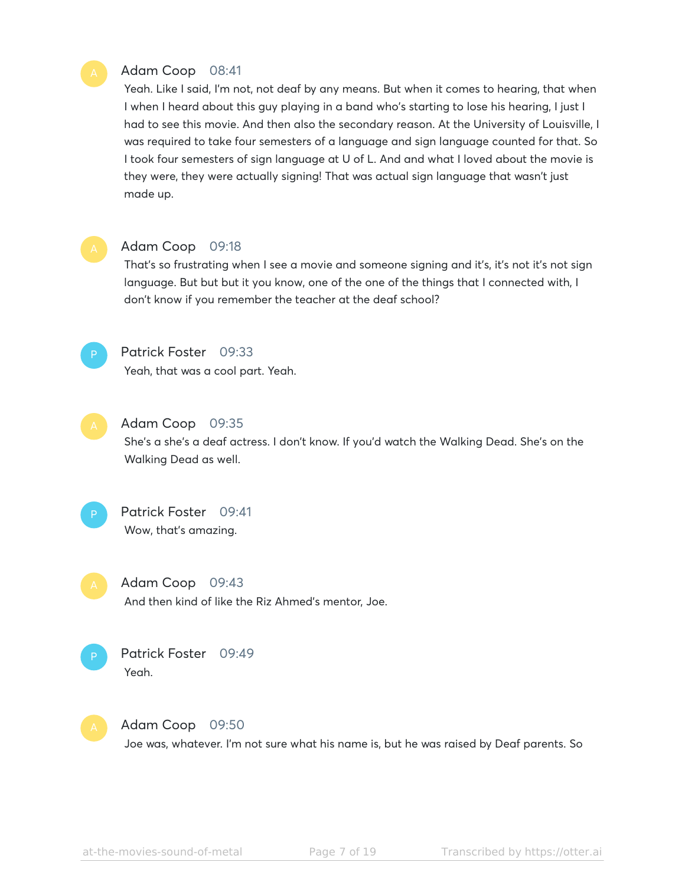# Adam Coop 08:41

Yeah. Like I said, I'm not, not deaf by any means. But when it comes to hearing, that when I when I heard about this guy playing in a band who's starting to lose his hearing, I just I had to see this movie. And then also the secondary reason. At the University of Louisville, I was required to take four semesters of a language and sign language counted for that. So I took four semesters of sign language at U of L. And and what I loved about the movie is they were, they were actually signing! That was actual sign language that wasn't just made up.



#### Adam Coop 09:18

That's so frustrating when I see a movie and someone signing and it's, it's not it's not sign language. But but but it you know, one of the one of the things that I connected with, I don't know if you remember the teacher at the deaf school?



# Patrick Foster 09:33

Yeah, that was a cool part. Yeah.

# Adam Coop 09:35

She's a she's a deaf actress. I don't know. If you'd watch the Walking Dead. She's on the Walking Dead as well.



Adam Coop 09:43 And then kind of like the Riz Ahmed's mentor, Joe.





#### Adam Coop 09:50

Joe was, whatever. I'm not sure what his name is, but he was raised by Deaf parents. So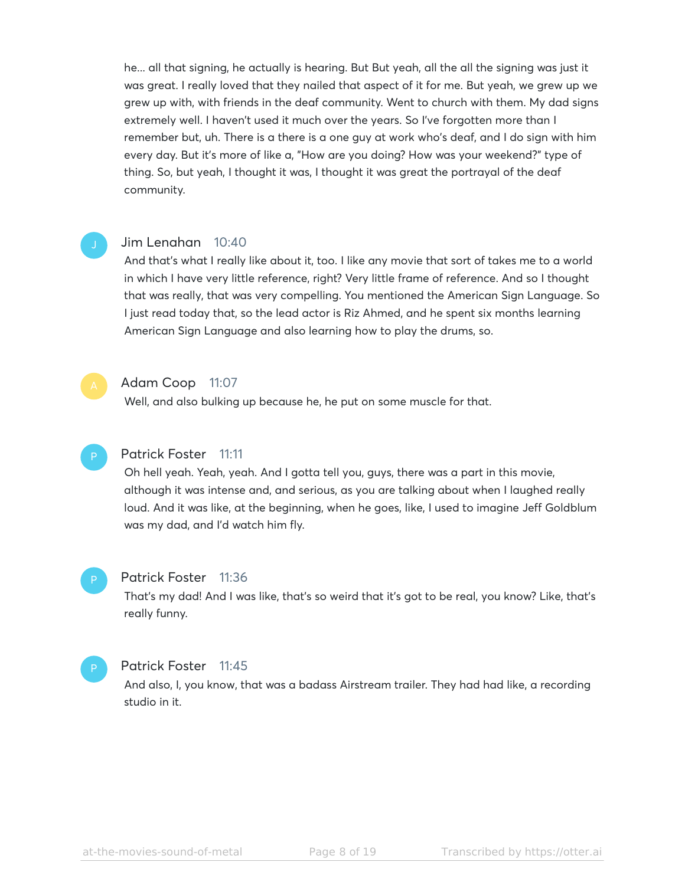he... all that signing, he actually is hearing. But But yeah, all the all the signing was just it was great. I really loved that they nailed that aspect of it for me. But yeah, we grew up we grew up with, with friends in the deaf community. Went to church with them. My dad signs extremely well. I haven't used it much over the years. So I've forgotten more than I remember but, uh. There is a there is a one guy at work who's deaf, and I do sign with him every day. But it's more of like a, "How are you doing? How was your weekend?" type of thing. So, but yeah, I thought it was, I thought it was great the portrayal of the deaf community.

#### Jim Lenahan 10:40

And that's what I really like about it, too. I like any movie that sort of takes me to a world in which I have very little reference, right? Very little frame of reference. And so I thought that was really, that was very compelling. You mentioned the American Sign Language. So I just read today that, so the lead actor is Riz Ahmed, and he spent six months learning American Sign Language and also learning how to play the drums, so.



#### Adam Coop 11:07

Well, and also bulking up because he, he put on some muscle for that.

#### Patrick Foster 11:11

Oh hell yeah. Yeah, yeah. And I gotta tell you, guys, there was a part in this movie, although it was intense and, and serious, as you are talking about when I laughed really loud. And it was like, at the beginning, when he goes, like, I used to imagine Jeff Goldblum was my dad, and I'd watch him fly.

#### Patrick Foster 11:36 P

That's my dad! And I was like, that's so weird that it's got to be real, you know? Like, that's really funny.

#### Patrick Foster 11:45 P

And also, I, you know, that was a badass Airstream trailer. They had had like, a recording studio in it.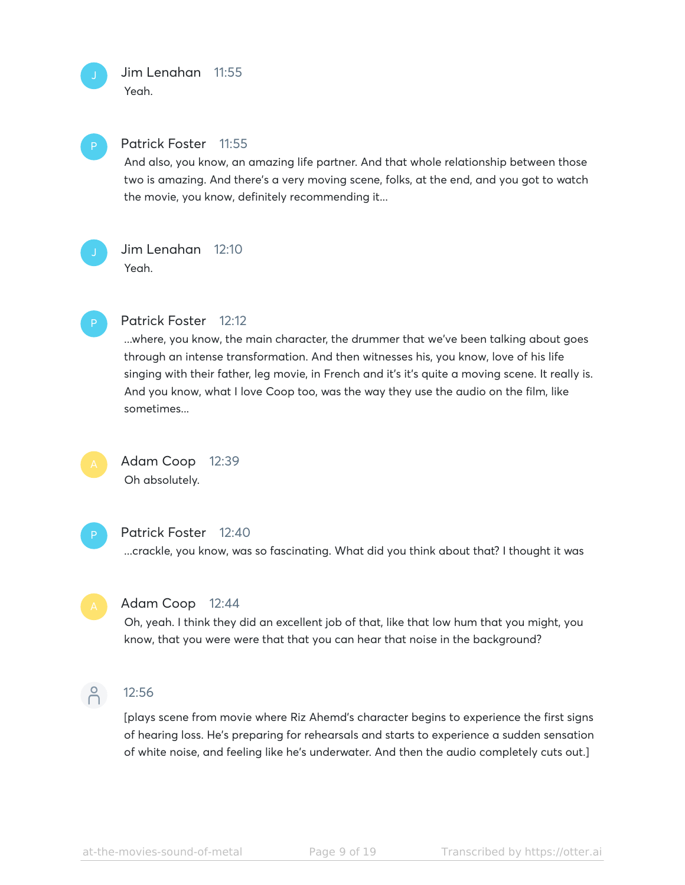# Jim Lenahan 11:55 Yeah.



P

#### Patrick Foster 11:55

And also, you know, an amazing life partner. And that whole relationship between those two is amazing. And there's a very moving scene, folks, at the end, and you got to watch the movie, you know, definitely recommending it...

# Jim Lenahan 12:10 Yeah.



#### Patrick Foster 12:12

...where, you know, the main character, the drummer that we've been talking about goes through an intense transformation. And then witnesses his, you know, love of his life singing with their father, leg movie, in French and it's it's quite a moving scene. It really is. And you know, what I love Coop too, was the way they use the audio on the film, like sometimes...



# Adam Coop 12:39 Oh absolutely.



#### Patrick Foster 12:40

...crackle, you know, was so fascinating. What did you think about that? I thought it was



#### Adam Coop 12:44

Oh, yeah. I think they did an excellent job of that, like that low hum that you might, you know, that you were were that that you can hear that noise in the background?



#### 12:56

[plays scene from movie where Riz Ahemd's character begins to experience the first signs of hearing loss. He's preparing for rehearsals and starts to experience a sudden sensation of white noise, and feeling like he's underwater. And then the audio completely cuts out.]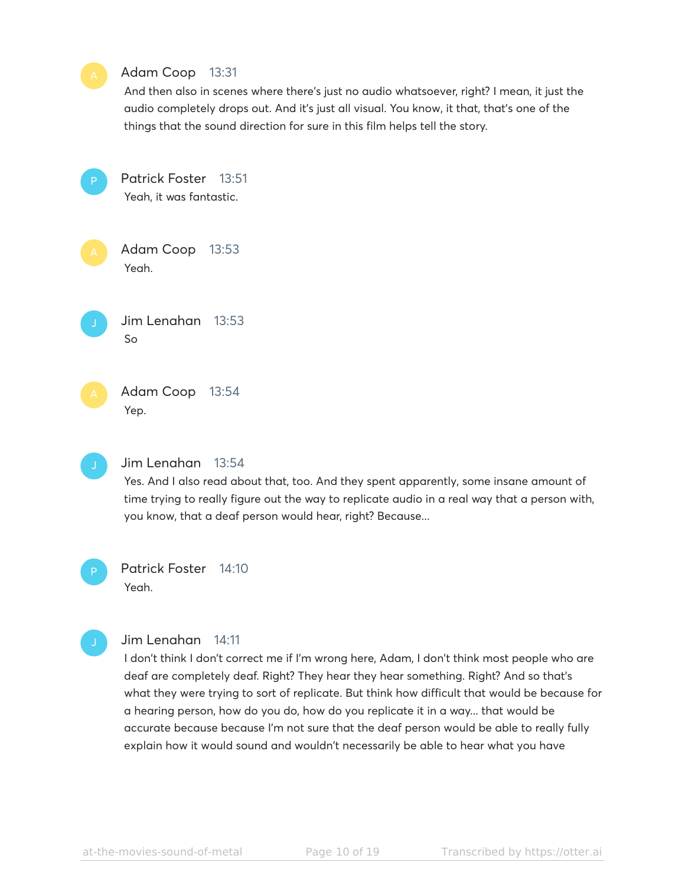

# Patrick Foster 14:10

Yeah.

# Jim Lenahan 14:11

I don't think I don't correct me if I'm wrong here, Adam, I don't think most people who are deaf are completely deaf. Right? They hear they hear something. Right? And so that's what they were trying to sort of replicate. But think how difficult that would be because for a hearing person, how do you do, how do you replicate it in a way... that would be accurate because because I'm not sure that the deaf person would be able to really fully explain how it would sound and wouldn't necessarily be able to hear what you have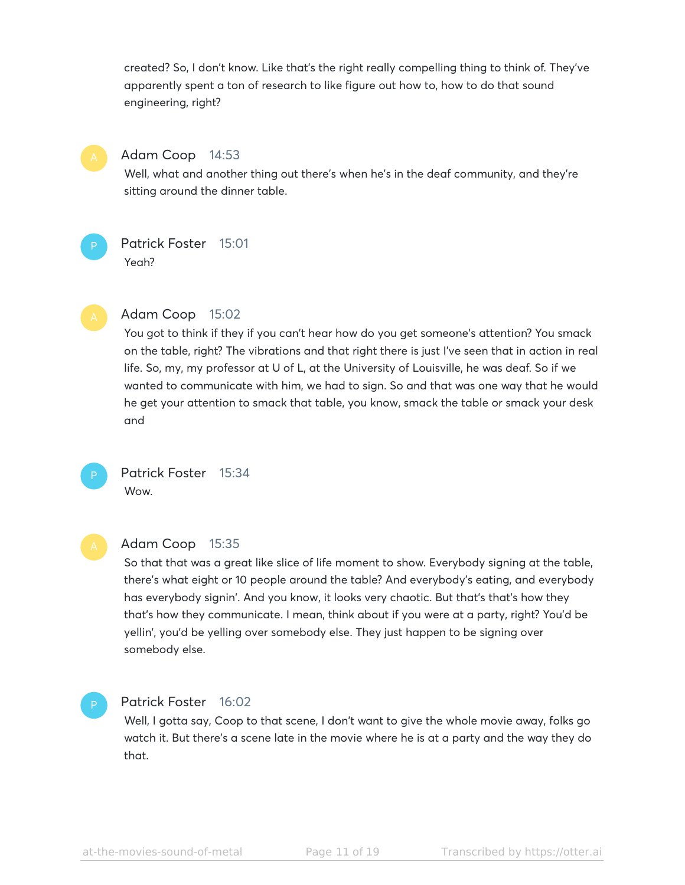created? So, I don't know. Like that's the right really compelling thing to think of. They've apparently spent a ton of research to like figure out how to, how to do that sound engineering, right?



#### Adam Coop 14:53

Well, what and another thing out there's when he's in the deaf community, and they're sitting around the dinner table.

Patrick Foster 15:01 Yeah?



P

#### Adam Coop 15:02

You got to think if they if you can't hear how do you get someone's attention? You smack on the table, right? The vibrations and that right there is just I've seen that in action in real life. So, my, my professor at U of L, at the University of Louisville, he was deaf. So if we wanted to communicate with him, we had to sign. So and that was one way that he would he get your attention to smack that table, you know, smack the table or smack your desk and



Patrick Foster 15:34 Wow.

#### Adam Coop 15:35

So that that was a great like slice of life moment to show. Everybody signing at the table, there's what eight or 10 people around the table? And everybody's eating, and everybody has everybody signin'. And you know, it looks very chaotic. But that's that's how they that's how they communicate. I mean, think about if you were at a party, right? You'd be yellin', you'd be yelling over somebody else. They just happen to be signing over somebody else.

#### Patrick Foster 16:02

Well, I gotta say, Coop to that scene, I don't want to give the whole movie away, folks go watch it. But there's a scene late in the movie where he is at a party and the way they do that.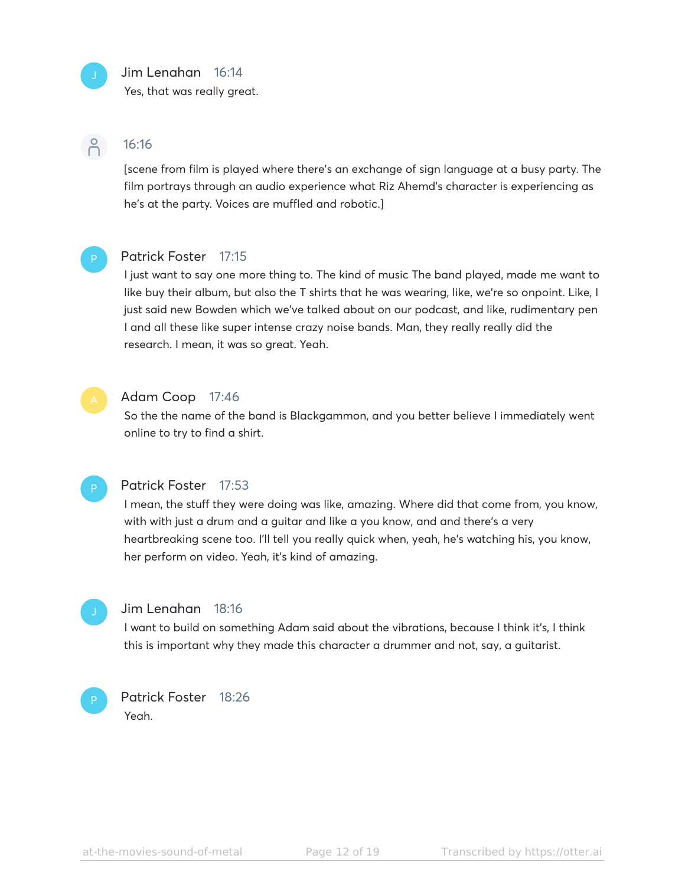# Jim Lenahan 16:14

Yes, that was really great.

# $\beta$

# 16:16

[scene from film is played where there's an exchange of sign language at a busy party. The film portrays through an audio experience what Riz Ahemd's character is experiencing as he's at the party. Voices are muffled and robotic.]



# Patrick Foster 17:15

I just want to say one more thing to. The kind of music The band played, made me want to like buy their album, but also the T shirts that he was wearing, like, we're so onpoint. Like, I just said new Bowden which we've talked about on our podcast, and like, rudimentary pen I and all these like super intense crazy noise bands. Man, they really really did the research. I mean, it was so great. Yeah.



# Adam Coop 17:46

So the the name of the band is Blackgammon, and you better believe I immediately went online to try to find a shirt.



### Patrick Foster 17:53

I mean, the stuff they were doing was like, amazing. Where did that come from, you know, with with just a drum and a guitar and like a you know, and and there's a very heartbreaking scene too. I'll tell you really quick when, yeah, he's watching his, you know, her perform on video. Yeah, it's kind of amazing.



#### Jim Lenahan 18:16

I want to build on something Adam said about the vibrations, because I think it's, I think this is important why they made this character a drummer and not, say, a guitarist.



#### Patrick Foster 18:26 Yeah.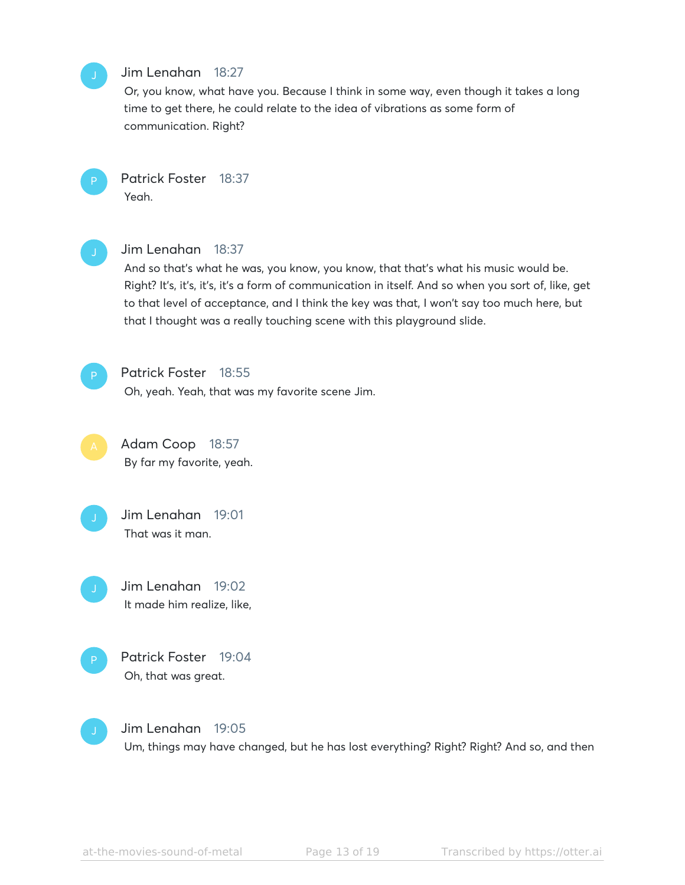# Jim Lenahan 18:27

Or, you know, what have you. Because I think in some way, even though it takes a long time to get there, he could relate to the idea of vibrations as some form of communication. Right?

Patrick Foster 18:37 Yeah.

#### Jim Lenahan 18:37

And so that's what he was, you know, you know, that that's what his music would be. Right? It's, it's, it's, it's a form of communication in itself. And so when you sort of, like, get to that level of acceptance, and I think the key was that, I won't say too much here, but that I thought was a really touching scene with this playground slide.

Patrick Foster 18:55 Oh, yeah. Yeah, that was my favorite scene Jim.

Adam Coop 18:57 By far my favorite, yeah.

Jim Lenahan 19:01 That was it man.

Jim Lenahan 19:02 It made him realize, like,





Jim Lenahan 19:05

Um, things may have changed, but he has lost everything? Right? Right? And so, and then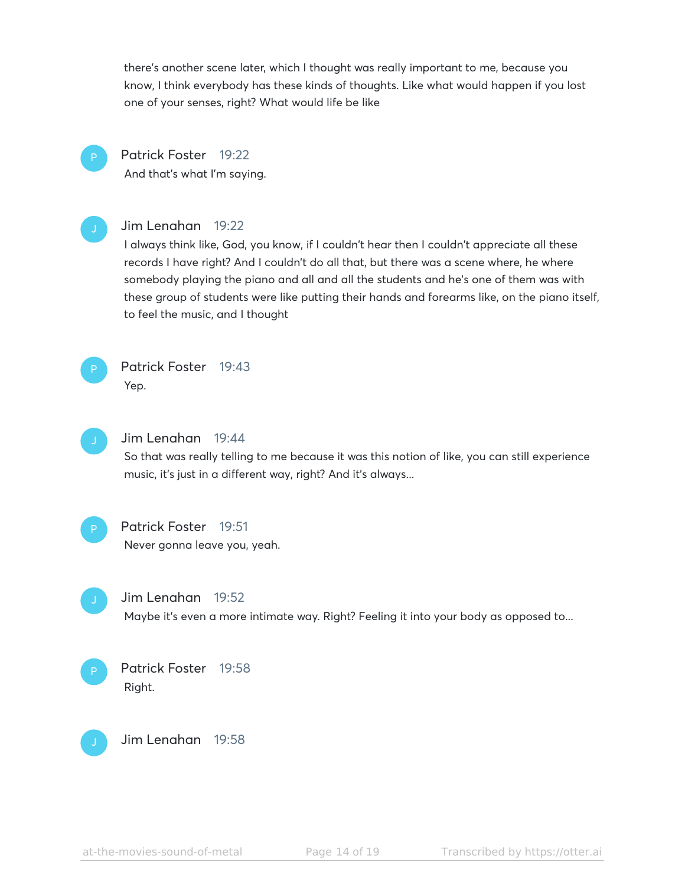there's another scene later, which I thought was really important to me, because you know, I think everybody has these kinds of thoughts. Like what would happen if you lost one of your senses, right? What would life be like

Patrick Foster 19:22 And that's what I'm saying.



#### Jim Lenahan 19:22

I always think like, God, you know, if I couldn't hear then I couldn't appreciate all these records I have right? And I couldn't do all that, but there was a scene where, he where somebody playing the piano and all and all the students and he's one of them was with these group of students were like putting their hands and forearms like, on the piano itself, to feel the music, and I thought



# Patrick Foster 19:43 Yep.



# Jim Lenahan 19:44

So that was really telling to me because it was this notion of like, you can still experience music, it's just in a different way, right? And it's always...



# Patrick Foster 19:51

Never gonna leave you, yeah.



#### Jim Lenahan 19:52

Maybe it's even a more intimate way. Right? Feeling it into your body as opposed to...



# Patrick Foster 19:58 Right.



Jim Lenahan 19:58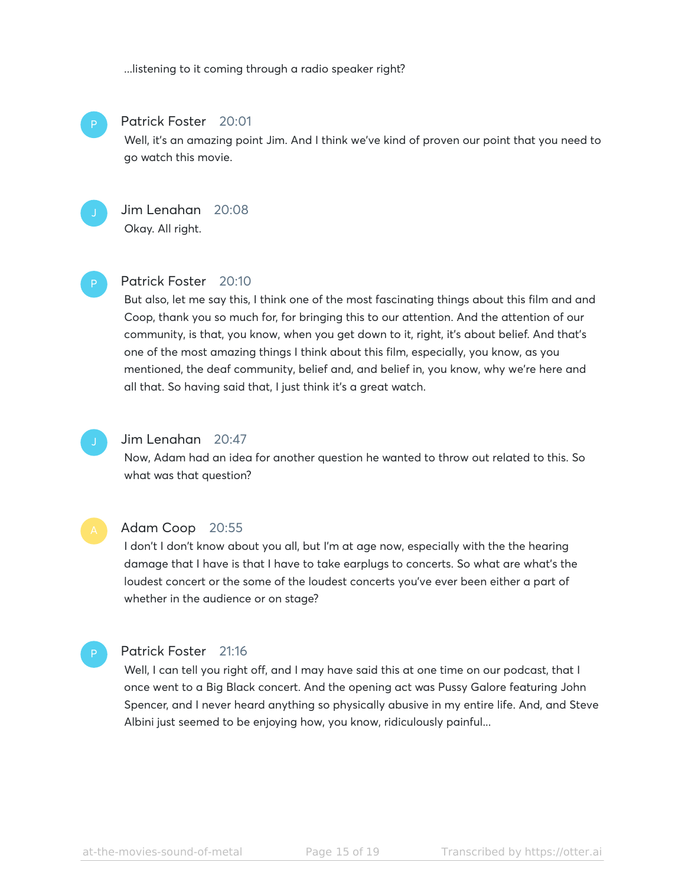...listening to it coming through a radio speaker right?



#### Patrick Foster 20:01

Well, it's an amazing point Jim. And I think we've kind of proven our point that you need to go watch this movie.



# Jim Lenahan 20:08

Okay. All right.

# P

#### Patrick Foster 20:10

But also, let me say this, I think one of the most fascinating things about this film and and Coop, thank you so much for, for bringing this to our attention. And the attention of our community, is that, you know, when you get down to it, right, it's about belief. And that's one of the most amazing things I think about this film, especially, you know, as you mentioned, the deaf community, belief and, and belief in, you know, why we're here and all that. So having said that, I just think it's a great watch.



#### Jim Lenahan 20:47

Now, Adam had an idea for another question he wanted to throw out related to this. So what was that question?



P

#### Adam Coop 20:55

I don't I don't know about you all, but I'm at age now, especially with the the hearing damage that I have is that I have to take earplugs to concerts. So what are what's the loudest concert or the some of the loudest concerts you've ever been either a part of whether in the audience or on stage?

#### Patrick Foster 21:16

Well, I can tell you right off, and I may have said this at one time on our podcast, that I once went to a Big Black concert. And the opening act was Pussy Galore featuring John Spencer, and I never heard anything so physically abusive in my entire life. And, and Steve Albini just seemed to be enjoying how, you know, ridiculously painful...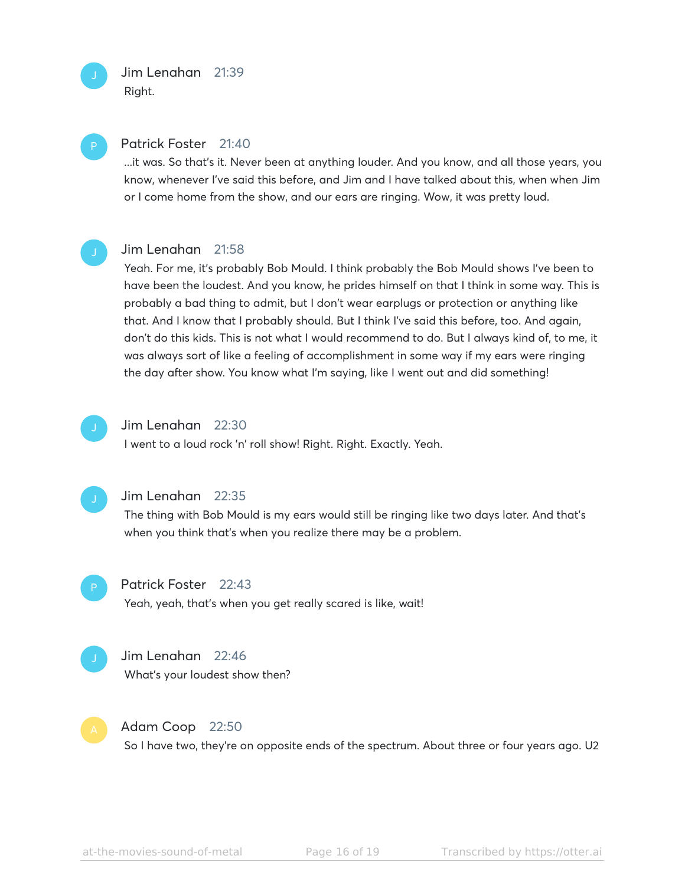Jim Lenahan 21:39 Right.



P

#### Patrick Foster 21:40

...it was. So that's it. Never been at anything louder. And you know, and all those years, you know, whenever I've said this before, and Jim and I have talked about this, when when Jim or I come home from the show, and our ears are ringing. Wow, it was pretty loud.



#### Jim Lenahan 21:58

Yeah. For me, it's probably Bob Mould. I think probably the Bob Mould shows I've been to have been the loudest. And you know, he prides himself on that I think in some way. This is probably a bad thing to admit, but I don't wear earplugs or protection or anything like that. And I know that I probably should. But I think I've said this before, too. And again, don't do this kids. This is not what I would recommend to do. But I always kind of, to me, it was always sort of like a feeling of accomplishment in some way if my ears were ringing the day after show. You know what I'm saying, like I went out and did something!



#### Jim Lenahan 22:30

I went to a loud rock 'n' roll show! Right. Right. Exactly. Yeah.



#### Jim Lenahan 22:35

The thing with Bob Mould is my ears would still be ringing like two days later. And that's when you think that's when you realize there may be a problem.



#### Patrick Foster 22:43

Yeah, yeah, that's when you get really scared is like, wait!



#### Jim Lenahan 22:46

What's your loudest show then?



#### Adam Coop 22:50

So I have two, they're on opposite ends of the spectrum. About three or four years ago. U2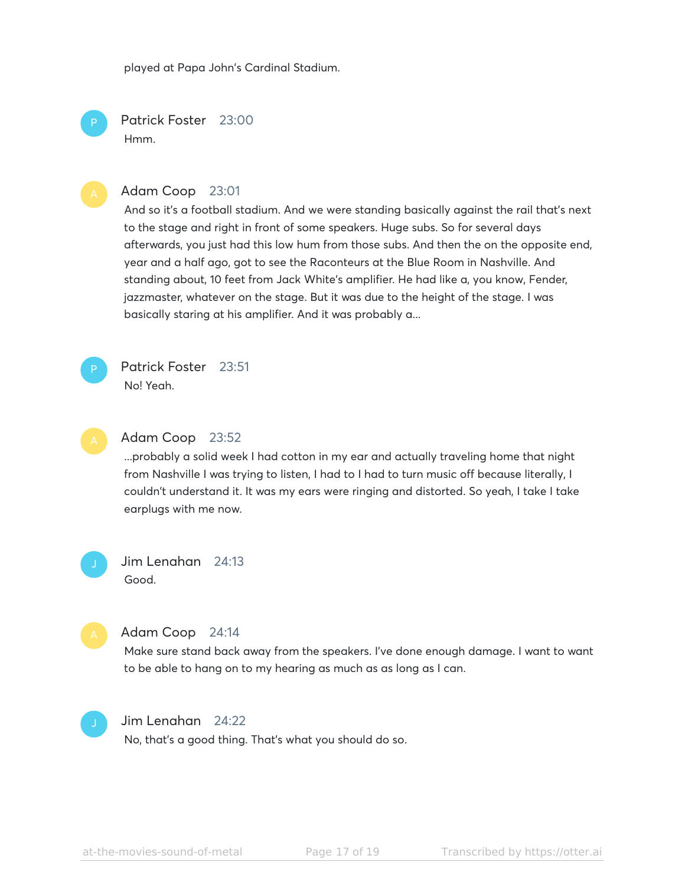played at Papa John's Cardinal Stadium.

Patrick Foster 23:00 Hmm.

#### Adam Coop 23:01

And so it's a football stadium. And we were standing basically against the rail that's next to the stage and right in front of some speakers. Huge subs. So for several days afterwards, you just had this low hum from those subs. And then the on the opposite end, year and a half ago, got to see the Raconteurs at the Blue Room in Nashville. And standing about, 10 feet from Jack White's amplifier. He had like a, you know, Fender, jazzmaster, whatever on the stage. But it was due to the height of the stage. I was basically staring at his amplifier. And it was probably a...



P

Patrick Foster 23:51 No! Yeah.



# Adam Coop 23:52

...probably a solid week I had cotton in my ear and actually traveling home that night from Nashville I was trying to listen, I had to I had to turn music off because literally, I couldn't understand it. It was my ears were ringing and distorted. So yeah, I take I take earplugs with me now.

Jim Lenahan 24:13 Good.



#### Adam Coop 24:14

Make sure stand back away from the speakers. I've done enough damage. I want to want to be able to hang on to my hearing as much as as long as I can.



#### Jim Lenahan 24:22

No, that's a good thing. That's what you should do so.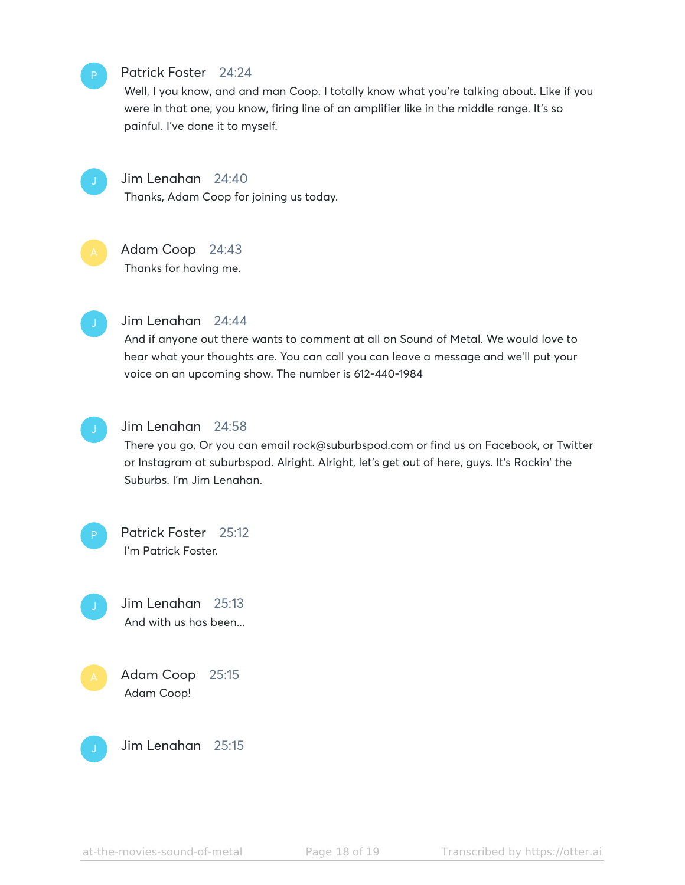# Patrick Foster 24:24

Well, I you know, and and man Coop. I totally know what you're talking about. Like if you were in that one, you know, firing line of an amplifier like in the middle range. It's so painful. I've done it to myself.



### Jim Lenahan 24:40

Thanks, Adam Coop for joining us today.

# Adam Coop 24:43

Thanks for having me.



#### Jim Lenahan 24:44

And if anyone out there wants to comment at all on Sound of Metal. We would love to hear what your thoughts are. You can call you can leave a message and we'll put your voice on an upcoming show. The number is 612-440-1984



# Jim Lenahan 24:58

There you go. Or you can email rock@suburbspod.com or find us on Facebook, or Twitter or Instagram at suburbspod. Alright. Alright, let's get out of here, guys. It's Rockin' the Suburbs. I'm Jim Lenahan.





Adam Coop 25:15 Adam Coop!



Jim Lenahan 25:15